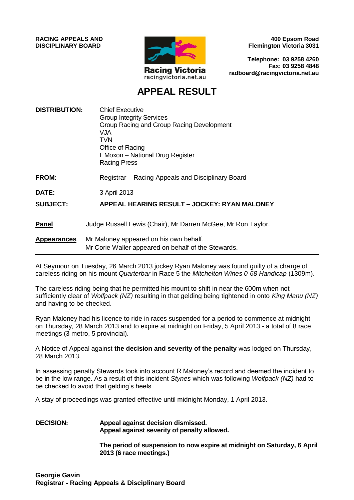**RACING APPEALS AND DISCIPLINARY BOARD**



**400 Epsom Road Flemington Victoria 3031**

**Telephone: 03 9258 4260 Fax: 03 9258 4848 radboard@racingvictoria.net.au**

## **APPEAL RESULT**

| <b>DISTRIBUTION:</b> | <b>Chief Executive</b><br><b>Group Integrity Services</b><br>Group Racing and Group Racing Development<br>VJA<br>TVN<br>Office of Racing<br>T Moxon - National Drug Register<br><b>Racing Press</b> |
|----------------------|-----------------------------------------------------------------------------------------------------------------------------------------------------------------------------------------------------|
| <b>FROM:</b>         | Registrar – Racing Appeals and Disciplinary Board                                                                                                                                                   |
| <b>DATE:</b>         | 3 April 2013                                                                                                                                                                                        |
| <b>SUBJECT:</b>      | APPEAL HEARING RESULT - JOCKEY: RYAN MALONEY                                                                                                                                                        |
| <b>Panel</b>         | Judge Russell Lewis (Chair), Mr Darren McGee, Mr Ron Taylor.                                                                                                                                        |
| <b>Appearances</b>   | Mr Maloney appeared on his own behalf.<br>Mr Corie Waller appeared on behalf of the Stewards.                                                                                                       |

At Seymour on Tuesday, 26 March 2013 jockey Ryan Maloney was found guilty of a charge of careless riding on his mount *Quarterbar* in Race 5 the *Mitchelton Wines 0-68 Handicap* (1309m).

The careless riding being that he permitted his mount to shift in near the 600m when not sufficiently clear of *Wolfpack (NZ)* resulting in that gelding being tightened in onto *King Manu (NZ)*  and having to be checked.

Ryan Maloney had his licence to ride in races suspended for a period to commence at midnight on Thursday, 28 March 2013 and to expire at midnight on Friday, 5 April 2013 - a total of 8 race meetings (3 metro, 5 provincial).

A Notice of Appeal against **the decision and severity of the penalty** was lodged on Thursday, 28 March 2013.

In assessing penalty Stewards took into account R Maloney's record and deemed the incident to be in the low range. As a result of this incident *Stynes* which was following *Wolfpack (NZ)* had to be checked to avoid that gelding's heels.

A stay of proceedings was granted effective until midnight Monday, 1 April 2013.

#### **DECISION: Appeal against decision dismissed. Appeal against severity of penalty allowed.**

**The period of suspension to now expire at midnight on Saturday, 6 April 2013 (6 race meetings.)**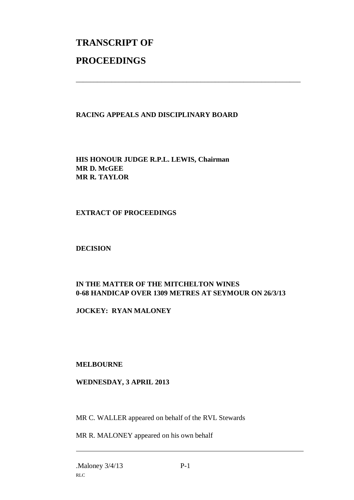# **TRANSCRIPT OF PROCEEDINGS**

#### **RACING APPEALS AND DISCIPLINARY BOARD**

\_\_\_\_\_\_\_\_\_\_\_\_\_\_\_\_\_\_\_\_\_\_\_\_\_\_\_\_\_\_\_\_\_\_\_\_\_\_\_\_\_\_\_\_\_\_\_\_\_\_\_\_\_\_\_\_\_\_\_\_\_\_\_

**HIS HONOUR JUDGE R.P.L. LEWIS, Chairman MR D. McGEE MR R. TAYLOR**

#### **EXTRACT OF PROCEEDINGS**

**DECISION**

### **IN THE MATTER OF THE MITCHELTON WINES 0-68 HANDICAP OVER 1309 METRES AT SEYMOUR ON 26/3/13**

**JOCKEY: RYAN MALONEY**

**MELBOURNE**

#### **WEDNESDAY, 3 APRIL 2013**

MR C. WALLER appeared on behalf of the RVL Stewards

MR R. MALONEY appeared on his own behalf